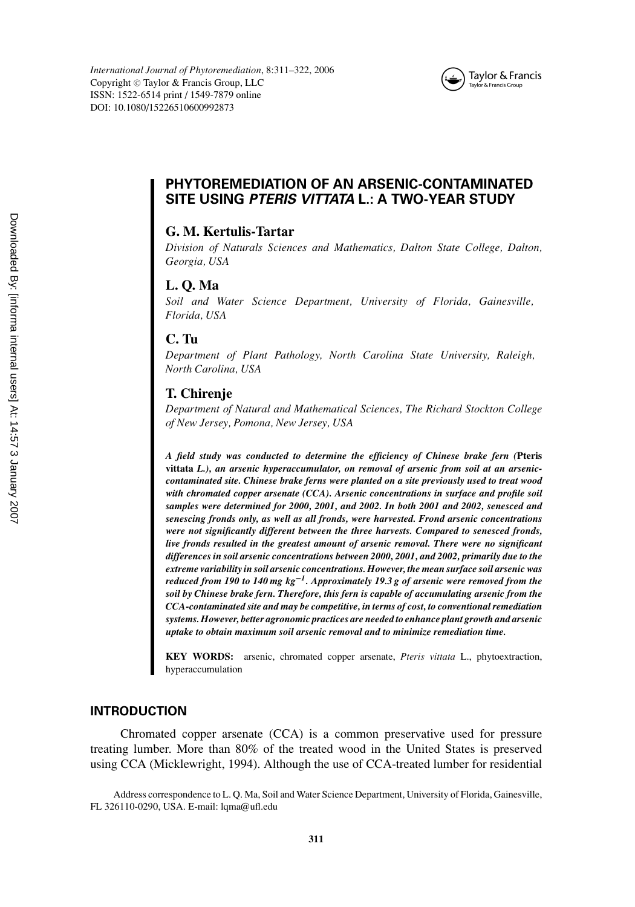

# **PHYTOREMEDIATION OF AN ARSENIC-CONTAMINATED SITE USING PTERIS VITTATA L.: A TWO-YEAR STUDY**

# **G. M. Kertulis-Tartar**

*Division of Naturals Sciences and Mathematics, Dalton State College, Dalton, Georgia, USA*

# **L. Q. Ma**

*Soil and Water Science Department, University of Florida, Gainesville, Florida, USA*

# **C. Tu**

*Department of Plant Pathology, North Carolina State University, Raleigh, North Carolina, USA*

#### **T. Chirenje**

*Department of Natural and Mathematical Sciences, The Richard Stockton College of New Jersey, Pomona, New Jersey, USA*

*A field study was conducted to determine the efficiency of Chinese brake fern (***Pteris vittata** *L.), an arsenic hyperaccumulator, on removal of arsenic from soil at an arseniccontaminated site. Chinese brake ferns were planted on a site previously used to treat wood with chromated copper arsenate (CCA). Arsenic concentrations in surface and profile soil samples were determined for 2000, 2001, and 2002. In both 2001 and 2002, senesced and senescing fronds only, as well as all fronds, were harvested. Frond arsenic concentrations were not significantly different between the three harvests. Compared to senesced fronds, live fronds resulted in the greatest amount of arsenic removal. There were no significant differences in soil arsenic concentrations between 2000, 2001, and 2002, primarily due to the extreme variability in soil arsenic concentrations. However, the mean surface soil arsenic was reduced from 190 to 140 mg kg***−***1. Approximately 19.3 g of arsenic were removed from the soil by Chinese brake fern. Therefore, this fern is capable of accumulating arsenic from the CCA-contaminated site and may be competitive, in terms of cost, to conventional remediation systems. However, better agronomic practices are needed to enhance plant growth and arsenic uptake to obtain maximum soil arsenic removal and to minimize remediation time.*

**KEY WORDS:** arsenic, chromated copper arsenate, *Pteris vittata* L., phytoextraction, hyperaccumulation

#### **INTRODUCTION**

Chromated copper arsenate (CCA) is a common preservative used for pressure treating lumber. More than 80% of the treated wood in the United States is preserved using CCA (Micklewright, 1994). Although the use of CCA-treated lumber for residential

Address correspondence to L. Q. Ma, Soil and Water Science Department, University of Florida, Gainesville, FL 326110-0290, USA. E-mail: lqma@ufl.edu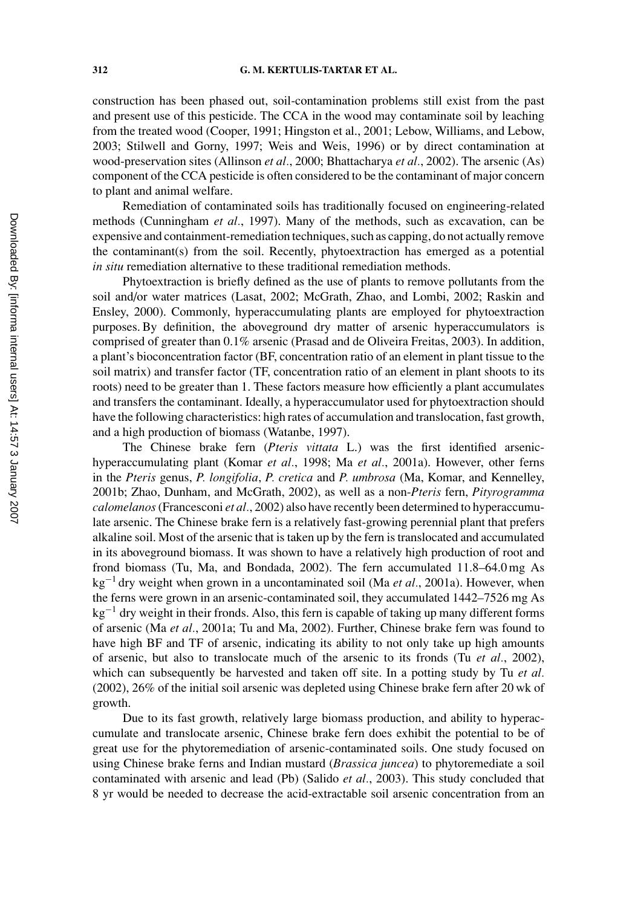construction has been phased out, soil-contamination problems still exist from the past and present use of this pesticide. The CCA in the wood may contaminate soil by leaching from the treated wood (Cooper, 1991; Hingston et al., 2001; Lebow, Williams, and Lebow, 2003; Stilwell and Gorny, 1997; Weis and Weis, 1996) or by direct contamination at wood-preservation sites (Allinson *et al.*, 2000; Bhattacharya *et al.*, 2002). The arsenic (As) component of the CCA pesticide is often considered to be the contaminant of major concern to plant and animal welfare.

Remediation of contaminated soils has traditionally focused on engineering-related methods (Cunningham *et al.*, 1997). Many of the methods, such as excavation, can be expensive and containment-remediation techniques, such as capping, do not actually remove the contaminant(s) from the soil. Recently, phytoextraction has emerged as a potential *in situ* remediation alternative to these traditional remediation methods.

Phytoextraction is briefly defined as the use of plants to remove pollutants from the soil and/or water matrices (Lasat, 2002; McGrath, Zhao, and Lombi, 2002; Raskin and Ensley, 2000). Commonly, hyperaccumulating plants are employed for phytoextraction purposes. By definition, the aboveground dry matter of arsenic hyperaccumulators is comprised of greater than 0.1% arsenic (Prasad and de Oliveira Freitas, 2003). In addition, a plant's bioconcentration factor (BF, concentration ratio of an element in plant tissue to the soil matrix) and transfer factor (TF, concentration ratio of an element in plant shoots to its roots) need to be greater than 1. These factors measure how efficiently a plant accumulates and transfers the contaminant. Ideally, a hyperaccumulator used for phytoextraction should have the following characteristics: high rates of accumulation and translocation, fast growth, and a high production of biomass (Watanbe, 1997).

The Chinese brake fern (*Pteris vittata* L.) was the first identified arsenichyperaccumulating plant (Komar *et al.*, 1998; Ma *et al.*, 2001a). However, other ferns in the *Pteris* genus, *P. longifolia*, *P. cretica* and *P. umbrosa* (Ma, Komar, and Kennelley, 2001b; Zhao, Dunham, and McGrath, 2002), as well as a non-*Pteris* fern, *Pityrogramma calomelanos*(Francesconi *et al.*, 2002) also have recently been determined to hyperaccumulate arsenic. The Chinese brake fern is a relatively fast-growing perennial plant that prefers alkaline soil. Most of the arsenic that is taken up by the fern is translocated and accumulated in its aboveground biomass. It was shown to have a relatively high production of root and frond biomass (Tu, Ma, and Bondada, 2002). The fern accumulated 11.8–64.0 mg As kg−<sup>1</sup> dry weight when grown in a uncontaminated soil (Ma *et al.*, 2001a). However, when the ferns were grown in an arsenic-contaminated soil, they accumulated 1442–7526 mg As kg−<sup>1</sup> dry weight in their fronds. Also, this fern is capable of taking up many different forms of arsenic (Ma *et al.*, 2001a; Tu and Ma, 2002). Further, Chinese brake fern was found to have high BF and TF of arsenic, indicating its ability to not only take up high amounts of arsenic, but also to translocate much of the arsenic to its fronds (Tu *et al.*, 2002), which can subsequently be harvested and taken off site. In a potting study by Tu *et al.* (2002), 26% of the initial soil arsenic was depleted using Chinese brake fern after 20 wk of growth.

Due to its fast growth, relatively large biomass production, and ability to hyperaccumulate and translocate arsenic, Chinese brake fern does exhibit the potential to be of great use for the phytoremediation of arsenic-contaminated soils. One study focused on using Chinese brake ferns and Indian mustard (*Brassica juncea*) to phytoremediate a soil contaminated with arsenic and lead (Pb) (Salido *et al.*, 2003). This study concluded that 8 yr would be needed to decrease the acid-extractable soil arsenic concentration from an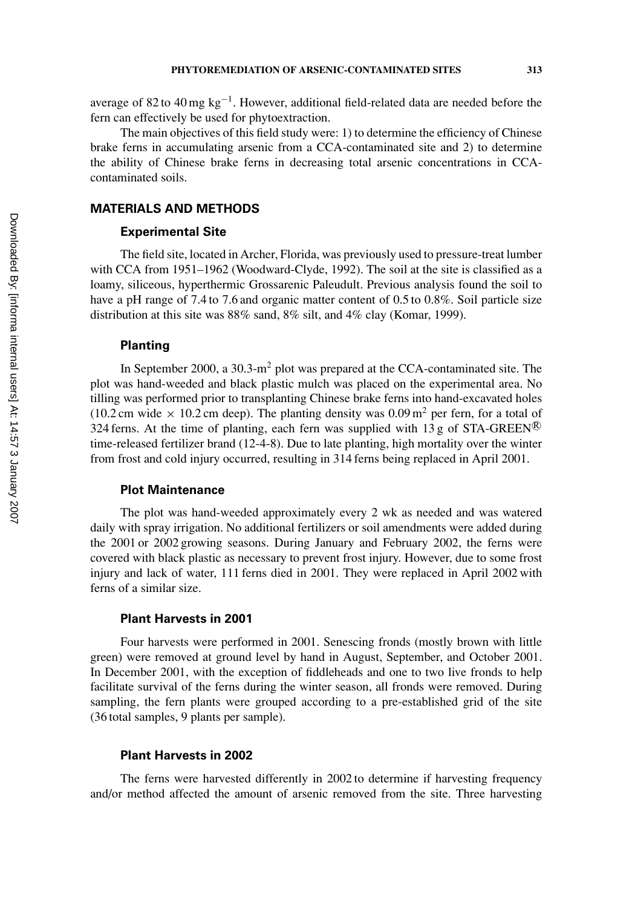average of 82 to 40 mg  $kg^{-1}$ . However, additional field-related data are needed before the fern can effectively be used for phytoextraction.

The main objectives of this field study were: 1) to determine the efficiency of Chinese brake ferns in accumulating arsenic from a CCA-contaminated site and 2) to determine the ability of Chinese brake ferns in decreasing total arsenic concentrations in CCAcontaminated soils.

# **MATERIALS AND METHODS**

### **Experimental Site**

The field site, located in Archer, Florida, was previously used to pressure-treat lumber with CCA from 1951–1962 (Woodward-Clyde, 1992). The soil at the site is classified as a loamy, siliceous, hyperthermic Grossarenic Paleudult. Previous analysis found the soil to have a pH range of 7.4 to 7.6 and organic matter content of 0.5 to 0.8%. Soil particle size distribution at this site was 88% sand, 8% silt, and 4% clay (Komar, 1999).

#### **Planting**

In September 2000, a  $30.3 \text{--} \text{m}^2$  plot was prepared at the CCA-contaminated site. The plot was hand-weeded and black plastic mulch was placed on the experimental area. No tilling was performed prior to transplanting Chinese brake ferns into hand-excavated holes (10.2 cm wide  $\times$  10.2 cm deep). The planting density was 0.09 m<sup>2</sup> per fern, for a total of 324 ferns. At the time of planting, each fern was supplied with 13 g of STA-GREEN® time-released fertilizer brand (12-4-8). Due to late planting, high mortality over the winter from frost and cold injury occurred, resulting in 314 ferns being replaced in April 2001.

# **Plot Maintenance**

The plot was hand-weeded approximately every 2 wk as needed and was watered daily with spray irrigation. No additional fertilizers or soil amendments were added during the 2001 or 2002 growing seasons. During January and February 2002, the ferns were covered with black plastic as necessary to prevent frost injury. However, due to some frost injury and lack of water, 111 ferns died in 2001. They were replaced in April 2002 with ferns of a similar size.

### **Plant Harvests in 2001**

Four harvests were performed in 2001. Senescing fronds (mostly brown with little green) were removed at ground level by hand in August, September, and October 2001. In December 2001, with the exception of fiddleheads and one to two live fronds to help facilitate survival of the ferns during the winter season, all fronds were removed. During sampling, the fern plants were grouped according to a pre-established grid of the site (36 total samples, 9 plants per sample).

# **Plant Harvests in 2002**

The ferns were harvested differently in 2002 to determine if harvesting frequency and/or method affected the amount of arsenic removed from the site. Three harvesting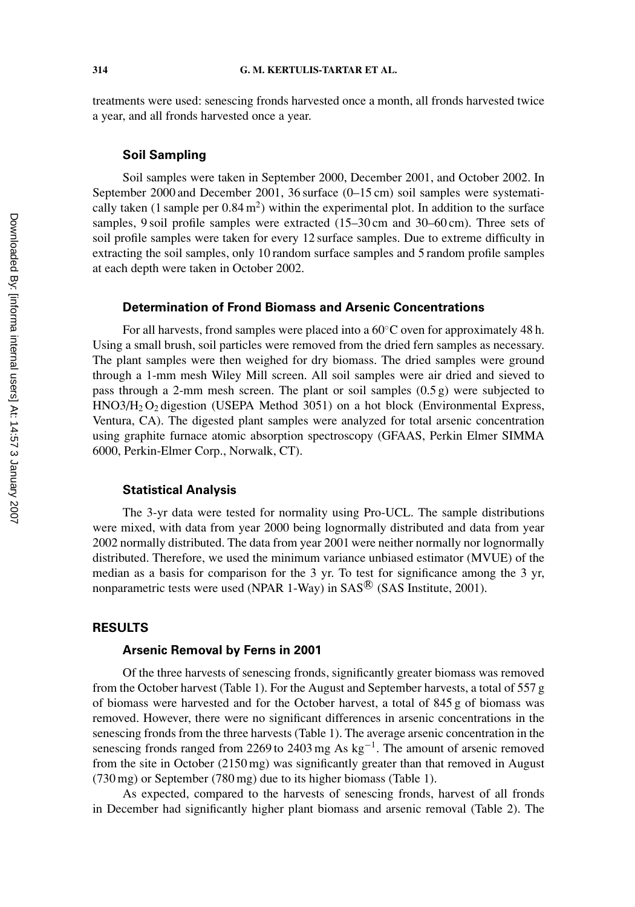treatments were used: senescing fronds harvested once a month, all fronds harvested twice a year, and all fronds harvested once a year.

### **Soil Sampling**

Soil samples were taken in September 2000, December 2001, and October 2002. In September 2000 and December 2001, 36 surface (0–15 cm) soil samples were systematically taken (1 sample per  $0.84 \text{ m}^2$ ) within the experimental plot. In addition to the surface samples, 9 soil profile samples were extracted (15–30 cm and 30–60 cm). Three sets of soil profile samples were taken for every 12 surface samples. Due to extreme difficulty in extracting the soil samples, only 10 random surface samples and 5 random profile samples at each depth were taken in October 2002.

#### **Determination of Frond Biomass and Arsenic Concentrations**

For all harvests, frond samples were placed into a 60◦C oven for approximately 48 h. Using a small brush, soil particles were removed from the dried fern samples as necessary. The plant samples were then weighed for dry biomass. The dried samples were ground through a 1-mm mesh Wiley Mill screen. All soil samples were air dried and sieved to pass through a 2-mm mesh screen. The plant or soil samples (0.5 g) were subjected to  $HNO3/H<sub>2</sub>O<sub>2</sub>$  digestion (USEPA Method 3051) on a hot block (Environmental Express, Ventura, CA). The digested plant samples were analyzed for total arsenic concentration using graphite furnace atomic absorption spectroscopy (GFAAS, Perkin Elmer SIMMA 6000, Perkin-Elmer Corp., Norwalk, CT).

# **Statistical Analysis**

The 3-yr data were tested for normality using Pro-UCL. The sample distributions were mixed, with data from year 2000 being lognormally distributed and data from year 2002 normally distributed. The data from year 2001 were neither normally nor lognormally distributed. Therefore, we used the minimum variance unbiased estimator (MVUE) of the median as a basis for comparison for the 3 yr. To test for significance among the 3 yr, nonparametric tests were used (NPAR 1-Way) in  $SAS^{\circledR}$  (SAS Institute, 2001).

# **RESULTS**

#### **Arsenic Removal by Ferns in 2001**

Of the three harvests of senescing fronds, significantly greater biomass was removed from the October harvest (Table 1). For the August and September harvests, a total of 557 g of biomass were harvested and for the October harvest, a total of 845 g of biomass was removed. However, there were no significant differences in arsenic concentrations in the senescing fronds from the three harvests (Table 1). The average arsenic concentration in the senescing fronds ranged from 2269 to 2403 mg As  $kg^{-1}$ . The amount of arsenic removed from the site in October (2150 mg) was significantly greater than that removed in August (730 mg) or September (780 mg) due to its higher biomass (Table 1).

As expected, compared to the harvests of senescing fronds, harvest of all fronds in December had significantly higher plant biomass and arsenic removal (Table 2). The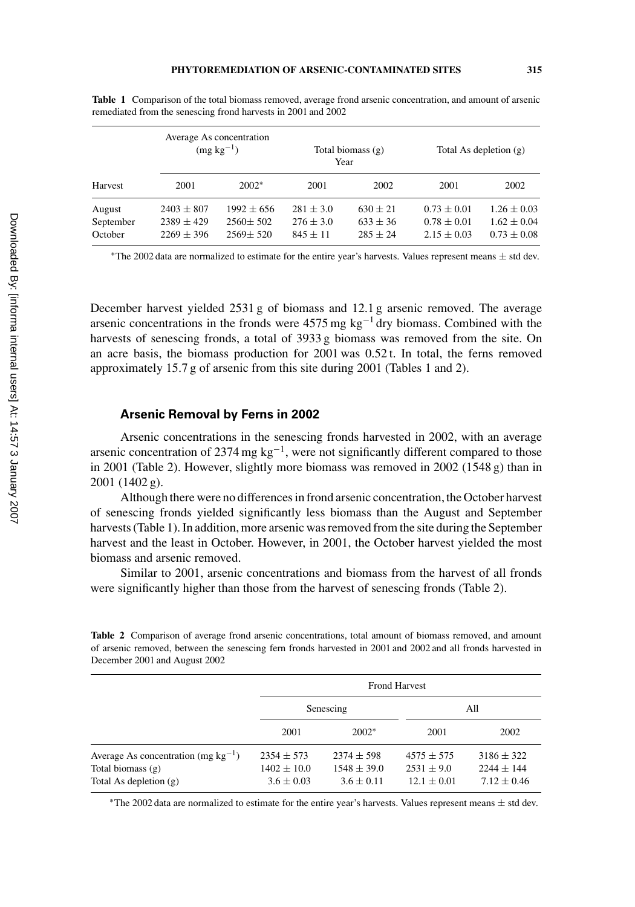| Harvest                        | Average As concentration<br>$(mg kg^{-1})$         |                                                    | Total biomass $(g)$<br>Year                  |                                            | Total As depletion $(g)$                              |                                                       |
|--------------------------------|----------------------------------------------------|----------------------------------------------------|----------------------------------------------|--------------------------------------------|-------------------------------------------------------|-------------------------------------------------------|
|                                | 2001                                               | $2002*$                                            | 2001                                         | 2002                                       | 2001                                                  | 2002                                                  |
| August<br>September<br>October | $2403 \pm 807$<br>$2389 \pm 429$<br>$2269 \pm 396$ | $1992 \pm 656$<br>$2560 \pm 502$<br>$2569 \pm 520$ | $281 \pm 3.0$<br>$276 \pm 3.0$<br>$845 + 11$ | $630 \pm 21$<br>$633 \pm 36$<br>$285 + 24$ | $0.73 \pm 0.01$<br>$0.78 \pm 0.01$<br>$2.15 \pm 0.03$ | $1.26 \pm 0.03$<br>$1.62 \pm 0.04$<br>$0.73 \pm 0.08$ |

**Table 1** Comparison of the total biomass removed, average frond arsenic concentration, and amount of arsenic remediated from the senescing frond harvests in 2001 and 2002

\*The 2002 data are normalized to estimate for the entire year's harvests. Values represent means  $\pm$  std dev.

December harvest yielded 2531 g of biomass and 12.1 g arsenic removed. The average arsenic concentrations in the fronds were  $4575$  mg kg<sup>-1</sup> dry biomass. Combined with the harvests of senescing fronds, a total of 3933 g biomass was removed from the site. On an acre basis, the biomass production for 2001 was 0.52 t. In total, the ferns removed approximately 15.7 g of arsenic from this site during 2001 (Tables 1 and 2).

#### **Arsenic Removal by Ferns in 2002**

Arsenic concentrations in the senescing fronds harvested in 2002, with an average arsenic concentration of 2374 mg kg−1, were not significantly different compared to those in 2001 (Table 2). However, slightly more biomass was removed in 2002 (1548 g) than in 2001 (1402 g).

Although there were no differences in frond arsenic concentration, the October harvest of senescing fronds yielded significantly less biomass than the August and September harvests (Table 1). In addition, more arsenic was removed from the site during the September harvest and the least in October. However, in 2001, the October harvest yielded the most biomass and arsenic removed.

Similar to 2001, arsenic concentrations and biomass from the harvest of all fronds were significantly higher than those from the harvest of senescing fronds (Table 2).

**Table 2** Comparison of average frond arsenic concentrations, total amount of biomass removed, and amount of arsenic removed, between the senescing fern fronds harvested in 2001 and 2002 and all fronds harvested in December 2001 and August 2002

|                                                                                             |                                                     | <b>Frond Harvest</b>                                |                                                     |                                                   |  |  |
|---------------------------------------------------------------------------------------------|-----------------------------------------------------|-----------------------------------------------------|-----------------------------------------------------|---------------------------------------------------|--|--|
|                                                                                             |                                                     | Senescing                                           | All                                                 |                                                   |  |  |
|                                                                                             | 2001                                                | $2002*$                                             | 2001                                                | 2002                                              |  |  |
| Average As concentration (mg $kg^{-1}$ )<br>Total biomass $(g)$<br>Total As depletion $(g)$ | $2354 \pm 573$<br>$1402 \pm 10.0$<br>$3.6 \pm 0.03$ | $2374 \pm 598$<br>$1548 \pm 39.0$<br>$3.6 \pm 0.11$ | $4575 \pm 575$<br>$2531 \pm 9.0$<br>$12.1 \pm 0.01$ | $3186 \pm 322$<br>$2244 + 144$<br>$7.12 \pm 0.46$ |  |  |

\*The 2002 data are normalized to estimate for the entire year's harvests. Values represent means  $\pm$  std dev.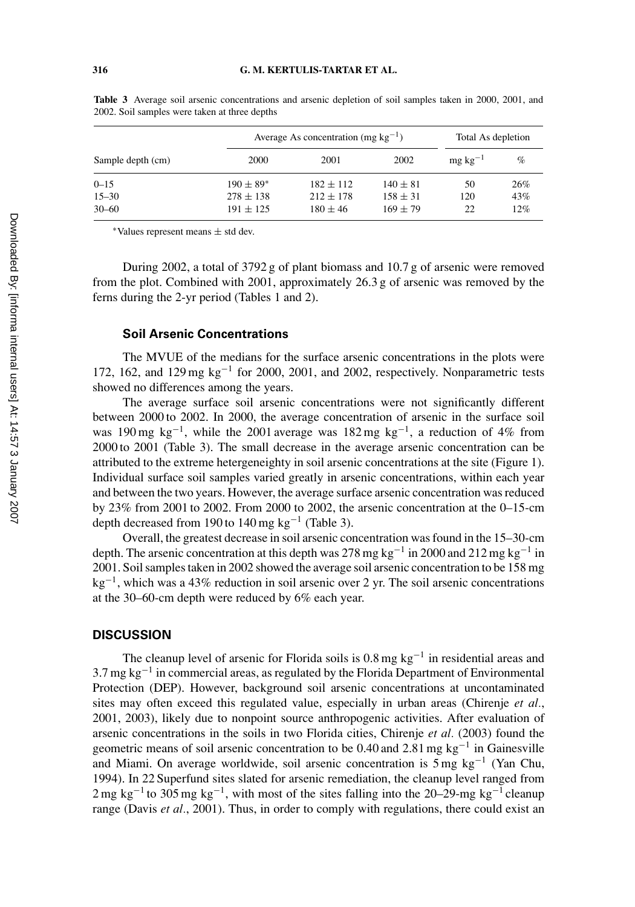|                   |               | Average As concentration (mg $kg^{-1}$ ) | Total As depletion |                      |     |
|-------------------|---------------|------------------------------------------|--------------------|----------------------|-----|
| Sample depth (cm) | 2000          | 2001                                     | 2002               | $mg \text{ kg}^{-1}$ | %   |
| $0 - 15$          | $190 \pm 89*$ | $182 + 112$                              | $140 \pm 81$       | 50                   | 26% |
| $15 - 30$         | $278 \pm 138$ | $212 \pm 178$                            | $158 + 31$         | 120                  | 43% |
| $30 - 60$         | $191 + 125$   | $180 + 46$                               | $169 + 79$         | 22                   | 12% |

**Table 3** Average soil arsenic concentrations and arsenic depletion of soil samples taken in 2000, 2001, and 2002. Soil samples were taken at three depths

<sup>∗</sup>Values represent means ± std dev.

During 2002, a total of 3792 g of plant biomass and 10.7 g of arsenic were removed from the plot. Combined with 2001, approximately 26.3 g of arsenic was removed by the ferns during the 2-yr period (Tables 1 and 2).

### **Soil Arsenic Concentrations**

The MVUE of the medians for the surface arsenic concentrations in the plots were 172, 162, and 129 mg kg−<sup>1</sup> for 2000, 2001, and 2002, respectively. Nonparametric tests showed no differences among the years.

The average surface soil arsenic concentrations were not significantly different between 2000 to 2002. In 2000, the average concentration of arsenic in the surface soil was 190 mg kg<sup>-1</sup>, while the 2001 average was 182 mg kg<sup>-1</sup>, a reduction of 4% from 2000 to 2001 (Table 3). The small decrease in the average arsenic concentration can be attributed to the extreme hetergeneighty in soil arsenic concentrations at the site (Figure 1). Individual surface soil samples varied greatly in arsenic concentrations, within each year and between the two years. However, the average surface arsenic concentration was reduced by 23% from 2001 to 2002. From 2000 to 2002, the arsenic concentration at the 0–15-cm depth decreased from 190 to 140 mg kg<sup>-1</sup> (Table 3).

Overall, the greatest decrease in soil arsenic concentration was found in the 15–30-cm depth. The arsenic concentration at this depth was 278 mg kg<sup>-1</sup> in 2000 and 212 mg kg<sup>-1</sup> in 2001. Soil samples taken in 2002 showed the average soil arsenic concentration to be 158 mg  $kg^{-1}$ , which was a 43% reduction in soil arsenic over 2 yr. The soil arsenic concentrations at the 30–60-cm depth were reduced by 6% each year.

#### **DISCUSSION**

The cleanup level of arsenic for Florida soils is  $0.8 \text{ mg kg}^{-1}$  in residential areas and  $3.7$  mg kg<sup>-1</sup> in commercial areas, as regulated by the Florida Department of Environmental Protection (DEP). However, background soil arsenic concentrations at uncontaminated sites may often exceed this regulated value, especially in urban areas (Chirenje *et al.*, 2001, 2003), likely due to nonpoint source anthropogenic activities. After evaluation of arsenic concentrations in the soils in two Florida cities, Chirenje *et al.* (2003) found the geometric means of soil arsenic concentration to be  $0.40$  and  $2.81$  mg kg<sup>-1</sup> in Gainesville and Miami. On average worldwide, soil arsenic concentration is 5 mg kg−<sup>1</sup> (Yan Chu, 1994). In 22 Superfund sites slated for arsenic remediation, the cleanup level ranged from 2 mg kg<sup>-1</sup> to 305 mg kg<sup>-1</sup>, with most of the sites falling into the 20–29-mg kg<sup>-1</sup> cleanup range (Davis *et al.*, 2001). Thus, in order to comply with regulations, there could exist an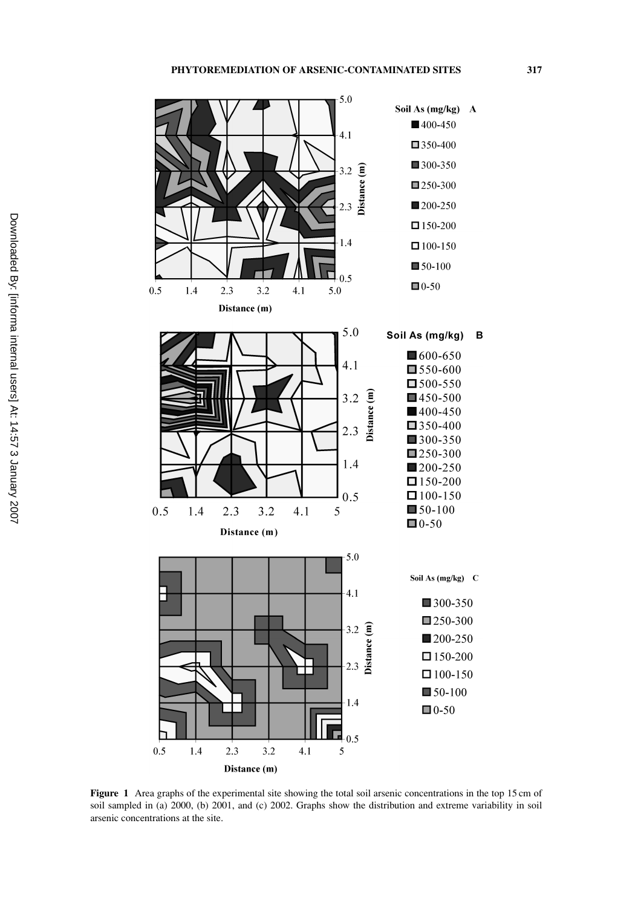

**Figure 1** Area graphs of the experimental site showing the total soil arsenic concentrations in the top 15 cm of soil sampled in (a) 2000, (b) 2001, and (c) 2002. Graphs show the distribution and extreme variability in soil arsenic concentrations at the site.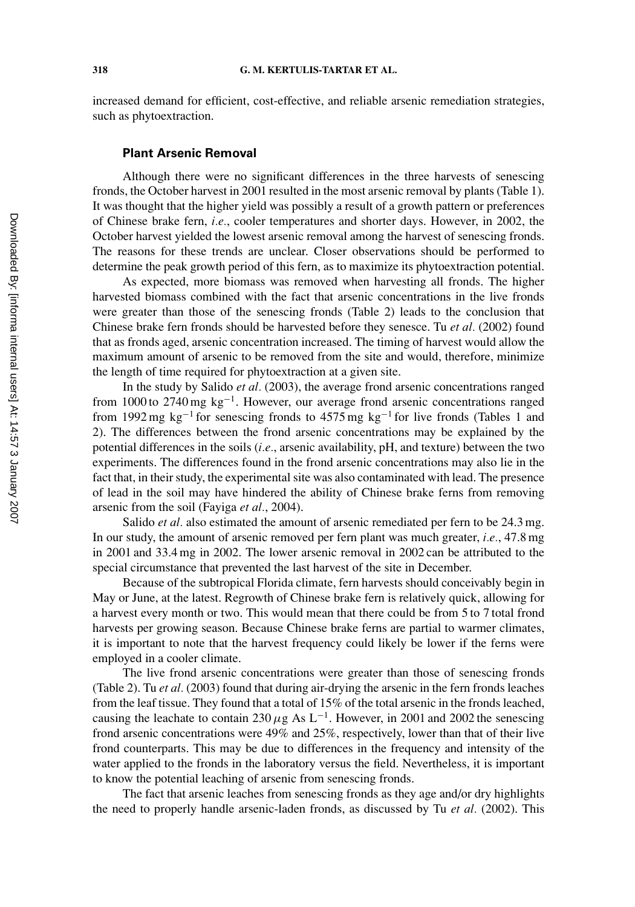increased demand for efficient, cost-effective, and reliable arsenic remediation strategies, such as phytoextraction.

### **Plant Arsenic Removal**

Although there were no significant differences in the three harvests of senescing fronds, the October harvest in 2001 resulted in the most arsenic removal by plants (Table 1). It was thought that the higher yield was possibly a result of a growth pattern or preferences of Chinese brake fern, *i.e.*, cooler temperatures and shorter days. However, in 2002, the October harvest yielded the lowest arsenic removal among the harvest of senescing fronds. The reasons for these trends are unclear. Closer observations should be performed to determine the peak growth period of this fern, as to maximize its phytoextraction potential.

As expected, more biomass was removed when harvesting all fronds. The higher harvested biomass combined with the fact that arsenic concentrations in the live fronds were greater than those of the senescing fronds (Table 2) leads to the conclusion that Chinese brake fern fronds should be harvested before they senesce. Tu *et al.* (2002) found that as fronds aged, arsenic concentration increased. The timing of harvest would allow the maximum amount of arsenic to be removed from the site and would, therefore, minimize the length of time required for phytoextraction at a given site.

In the study by Salido *et al.* (2003), the average frond arsenic concentrations ranged from 1000 to 2740 mg  $kg^{-1}$ . However, our average frond arsenic concentrations ranged from 1992 mg kg<sup>-1</sup> for senescing fronds to 4575 mg kg<sup>-1</sup> for live fronds (Tables 1 and 2). The differences between the frond arsenic concentrations may be explained by the potential differences in the soils (*i.e.*, arsenic availability, pH, and texture) between the two experiments. The differences found in the frond arsenic concentrations may also lie in the fact that, in their study, the experimental site was also contaminated with lead. The presence of lead in the soil may have hindered the ability of Chinese brake ferns from removing arsenic from the soil (Fayiga *et al.*, 2004).

Salido *et al.* also estimated the amount of arsenic remediated per fern to be 24.3 mg. In our study, the amount of arsenic removed per fern plant was much greater, *i.e.*, 47.8 mg in 2001 and 33.4 mg in 2002. The lower arsenic removal in 2002 can be attributed to the special circumstance that prevented the last harvest of the site in December.

Because of the subtropical Florida climate, fern harvests should conceivably begin in May or June, at the latest. Regrowth of Chinese brake fern is relatively quick, allowing for a harvest every month or two. This would mean that there could be from 5 to 7 total frond harvests per growing season. Because Chinese brake ferns are partial to warmer climates, it is important to note that the harvest frequency could likely be lower if the ferns were employed in a cooler climate.

The live frond arsenic concentrations were greater than those of senescing fronds (Table 2). Tu *et al.* (2003) found that during air-drying the arsenic in the fern fronds leaches from the leaf tissue. They found that a total of 15% of the total arsenic in the fronds leached, causing the leachate to contain 230  $\mu$ g As L<sup>-1</sup>. However, in 2001 and 2002 the senescing frond arsenic concentrations were 49% and 25%, respectively, lower than that of their live frond counterparts. This may be due to differences in the frequency and intensity of the water applied to the fronds in the laboratory versus the field. Nevertheless, it is important to know the potential leaching of arsenic from senescing fronds.

The fact that arsenic leaches from senescing fronds as they age and/or dry highlights the need to properly handle arsenic-laden fronds, as discussed by Tu *et al.* (2002). This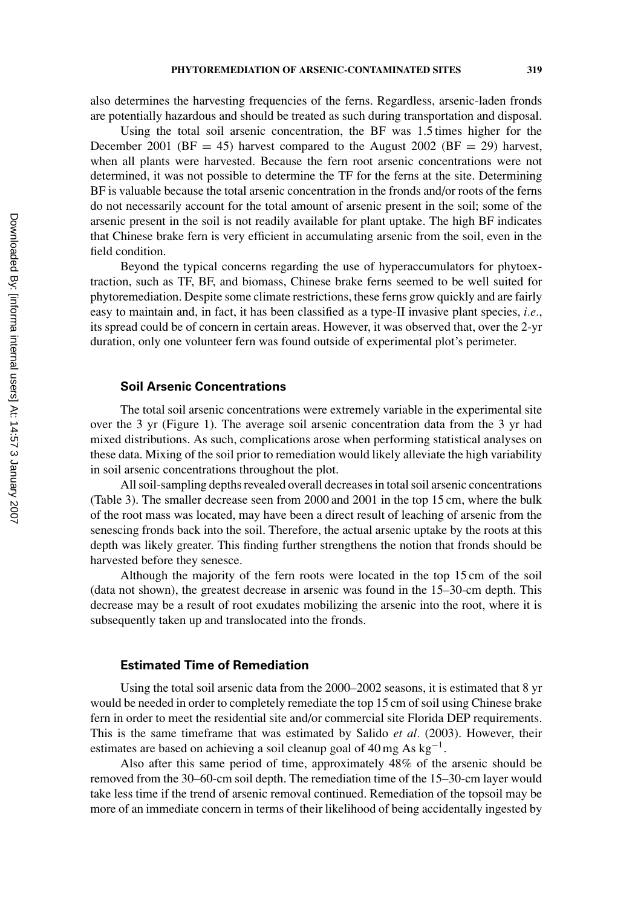also determines the harvesting frequencies of the ferns. Regardless, arsenic-laden fronds are potentially hazardous and should be treated as such during transportation and disposal.

Using the total soil arsenic concentration, the BF was 1.5 times higher for the December 2001 (BF = 45) harvest compared to the August 2002 (BF = 29) harvest, when all plants were harvested. Because the fern root arsenic concentrations were not determined, it was not possible to determine the TF for the ferns at the site. Determining BF is valuable because the total arsenic concentration in the fronds and/or roots of the ferns do not necessarily account for the total amount of arsenic present in the soil; some of the arsenic present in the soil is not readily available for plant uptake. The high BF indicates that Chinese brake fern is very efficient in accumulating arsenic from the soil, even in the field condition.

Beyond the typical concerns regarding the use of hyperaccumulators for phytoextraction, such as TF, BF, and biomass, Chinese brake ferns seemed to be well suited for phytoremediation. Despite some climate restrictions, these ferns grow quickly and are fairly easy to maintain and, in fact, it has been classified as a type-II invasive plant species, *i.e.*, its spread could be of concern in certain areas. However, it was observed that, over the 2-yr duration, only one volunteer fern was found outside of experimental plot's perimeter.

#### **Soil Arsenic Concentrations**

The total soil arsenic concentrations were extremely variable in the experimental site over the 3 yr (Figure 1). The average soil arsenic concentration data from the 3 yr had mixed distributions. As such, complications arose when performing statistical analyses on these data. Mixing of the soil prior to remediation would likely alleviate the high variability in soil arsenic concentrations throughout the plot.

All soil-sampling depths revealed overall decreases in total soil arsenic concentrations (Table 3). The smaller decrease seen from 2000 and 2001 in the top 15 cm, where the bulk of the root mass was located, may have been a direct result of leaching of arsenic from the senescing fronds back into the soil. Therefore, the actual arsenic uptake by the roots at this depth was likely greater. This finding further strengthens the notion that fronds should be harvested before they senesce.

Although the majority of the fern roots were located in the top 15 cm of the soil (data not shown), the greatest decrease in arsenic was found in the 15–30-cm depth. This decrease may be a result of root exudates mobilizing the arsenic into the root, where it is subsequently taken up and translocated into the fronds.

# **Estimated Time of Remediation**

Using the total soil arsenic data from the 2000–2002 seasons, it is estimated that 8 yr would be needed in order to completely remediate the top 15 cm of soil using Chinese brake fern in order to meet the residential site and/or commercial site Florida DEP requirements. This is the same timeframe that was estimated by Salido *et al.* (2003). However, their estimates are based on achieving a soil cleanup goal of 40 mg As  $kg^{-1}$ .

Also after this same period of time, approximately 48% of the arsenic should be removed from the 30–60-cm soil depth. The remediation time of the 15–30-cm layer would take less time if the trend of arsenic removal continued. Remediation of the topsoil may be more of an immediate concern in terms of their likelihood of being accidentally ingested by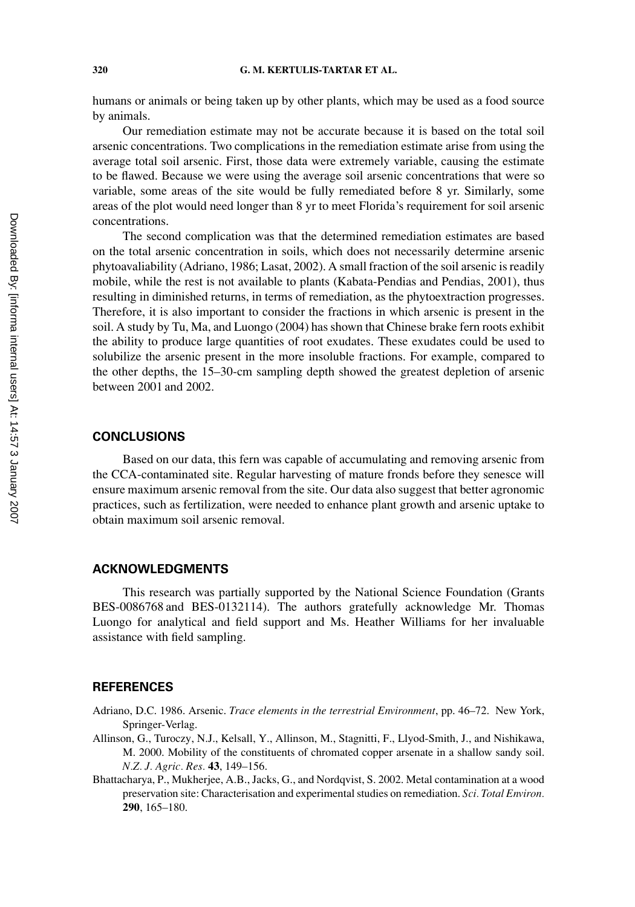#### **320 G. M. KERTULIS-TARTAR ET AL.**

humans or animals or being taken up by other plants, which may be used as a food source by animals.

Our remediation estimate may not be accurate because it is based on the total soil arsenic concentrations. Two complications in the remediation estimate arise from using the average total soil arsenic. First, those data were extremely variable, causing the estimate to be flawed. Because we were using the average soil arsenic concentrations that were so variable, some areas of the site would be fully remediated before 8 yr. Similarly, some areas of the plot would need longer than 8 yr to meet Florida's requirement for soil arsenic concentrations.

The second complication was that the determined remediation estimates are based on the total arsenic concentration in soils, which does not necessarily determine arsenic phytoavaliability (Adriano, 1986; Lasat, 2002). A small fraction of the soil arsenic is readily mobile, while the rest is not available to plants (Kabata-Pendias and Pendias, 2001), thus resulting in diminished returns, in terms of remediation, as the phytoextraction progresses. Therefore, it is also important to consider the fractions in which arsenic is present in the soil. A study by Tu, Ma, and Luongo (2004) has shown that Chinese brake fern roots exhibit the ability to produce large quantities of root exudates. These exudates could be used to solubilize the arsenic present in the more insoluble fractions. For example, compared to the other depths, the 15–30-cm sampling depth showed the greatest depletion of arsenic between 2001 and 2002.

# **CONCLUSIONS**

Based on our data, this fern was capable of accumulating and removing arsenic from the CCA-contaminated site. Regular harvesting of mature fronds before they senesce will ensure maximum arsenic removal from the site. Our data also suggest that better agronomic practices, such as fertilization, were needed to enhance plant growth and arsenic uptake to obtain maximum soil arsenic removal.

### **ACKNOWLEDGMENTS**

This research was partially supported by the National Science Foundation (Grants BES-0086768 and BES-0132114). The authors gratefully acknowledge Mr. Thomas Luongo for analytical and field support and Ms. Heather Williams for her invaluable assistance with field sampling.

# **REFERENCES**

- Adriano, D.C. 1986. Arsenic. *Trace elements in the terrestrial Environment*, pp. 46–72. New York, Springer-Verlag.
- Allinson, G., Turoczy, N.J., Kelsall, Y., Allinson, M., Stagnitti, F., Llyod-Smith, J., and Nishikawa, M. 2000. Mobility of the constituents of chromated copper arsenate in a shallow sandy soil. *N.Z. J. Agric. Res.* **43**, 149–156.
- Bhattacharya, P., Mukherjee, A.B., Jacks, G., and Nordqvist, S. 2002. Metal contamination at a wood preservation site: Characterisation and experimental studies on remediation. *Sci. Total Environ.* **290**, 165–180.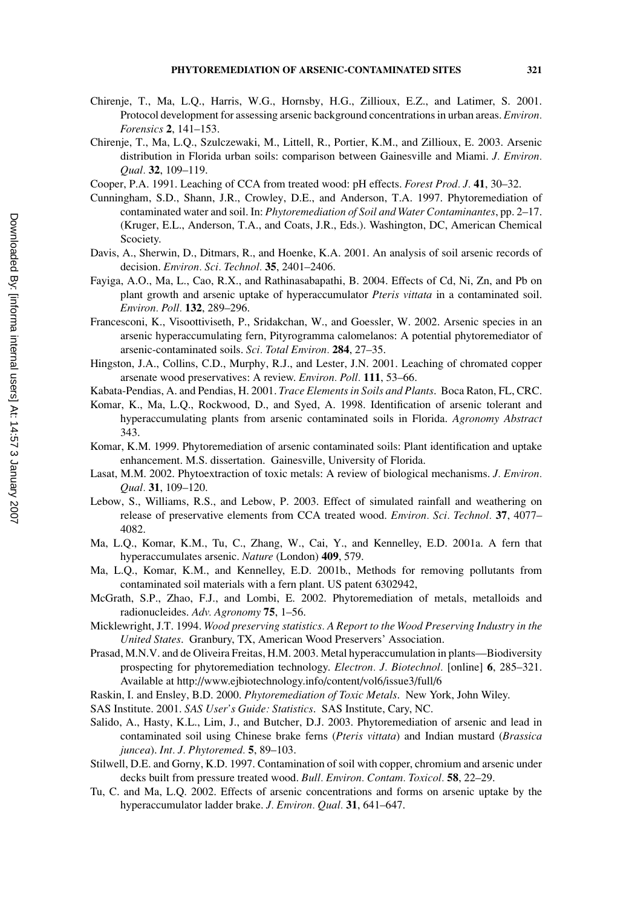- Chirenje, T., Ma, L.Q., Harris, W.G., Hornsby, H.G., Zillioux, E.Z., and Latimer, S. 2001. Protocol development for assessing arsenic background concentrations in urban areas. *Environ. Forensics* **2**, 141–153.
- Chirenje, T., Ma, L.Q., Szulczewaki, M., Littell, R., Portier, K.M., and Zillioux, E. 2003. Arsenic distribution in Florida urban soils: comparison between Gainesville and Miami. *J. Environ. Qual.* **32**, 109–119.
- Cooper, P.A. 1991. Leaching of CCA from treated wood: pH effects. *Forest Prod. J.* **41**, 30–32.
- Cunningham, S.D., Shann, J.R., Crowley, D.E., and Anderson, T.A. 1997. Phytoremediation of contaminated water and soil. In: *Phytoremediation of Soil and Water Contaminantes*, pp. 2–17. (Kruger, E.L., Anderson, T.A., and Coats, J.R., Eds.). Washington, DC, American Chemical Scociety.
- Davis, A., Sherwin, D., Ditmars, R., and Hoenke, K.A. 2001. An analysis of soil arsenic records of decision. *Environ. Sci. Technol.* **35**, 2401–2406.
- Fayiga, A.O., Ma, L., Cao, R.X., and Rathinasabapathi, B. 2004. Effects of Cd, Ni, Zn, and Pb on plant growth and arsenic uptake of hyperaccumulator *Pteris vittata* in a contaminated soil. *Environ. Poll.* **132**, 289–296.
- Francesconi, K., Visoottiviseth, P., Sridakchan, W., and Goessler, W. 2002. Arsenic species in an arsenic hyperaccumulating fern, Pityrogramma calomelanos: A potential phytoremediator of arsenic-contaminated soils. *Sci. Total Environ.* **284**, 27–35.
- Hingston, J.A., Collins, C.D., Murphy, R.J., and Lester, J.N. 2001. Leaching of chromated copper arsenate wood preservatives: A review. *Environ. Poll.* **111**, 53–66.
- Kabata-Pendias, A. and Pendias, H. 2001. *Trace Elements in Soils and Plants*. Boca Raton, FL, CRC.
- Komar, K., Ma, L.Q., Rockwood, D., and Syed, A. 1998. Identification of arsenic tolerant and hyperaccumulating plants from arsenic contaminated soils in Florida. *Agronomy Abstract* 343.
- Komar, K.M. 1999. Phytoremediation of arsenic contaminated soils: Plant identification and uptake enhancement. M.S. dissertation. Gainesville, University of Florida.
- Lasat, M.M. 2002. Phytoextraction of toxic metals: A review of biological mechanisms. *J. Environ. Qual.* **31**, 109–120.
- Lebow, S., Williams, R.S., and Lebow, P. 2003. Effect of simulated rainfall and weathering on release of preservative elements from CCA treated wood. *Environ. Sci. Technol.* **37**, 4077– 4082.
- Ma, L.Q., Komar, K.M., Tu, C., Zhang, W., Cai, Y., and Kennelley, E.D. 2001a. A fern that hyperaccumulates arsenic. *Nature* (London) **409**, 579.
- Ma, L.Q., Komar, K.M., and Kennelley, E.D. 2001b., Methods for removing pollutants from contaminated soil materials with a fern plant. US patent 6302942,
- McGrath, S.P., Zhao, F.J., and Lombi, E. 2002. Phytoremediation of metals, metalloids and radionucleides. *Adv. Agronomy* **75**, 1–56.
- Micklewright, J.T. 1994. *Wood preserving statistics. A Report to the Wood Preserving Industry in the United States*. Granbury, TX, American Wood Preservers' Association.
- Prasad, M.N.V. and de Oliveira Freitas, H.M. 2003. Metal hyperaccumulation in plants—Biodiversity prospecting for phytoremediation technology. *Electron. J. Biotechnol.* [online] **6**, 285–321. Available at http://www.ejbiotechnology.info/content/vol6/issue3/full/6
- Raskin, I. and Ensley, B.D. 2000. *Phytoremediation of Toxic Metals*. New York, John Wiley.
- SAS Institute. 2001. *SAS User's Guide: Statistics*. SAS Institute, Cary, NC.
- Salido, A., Hasty, K.L., Lim, J., and Butcher, D.J. 2003. Phytoremediation of arsenic and lead in contaminated soil using Chinese brake ferns (*Pteris vittata*) and Indian mustard (*Brassica juncea*). *Int. J. Phytoremed.* **5**, 89–103.
- Stilwell, D.E. and Gorny, K.D. 1997. Contamination of soil with copper, chromium and arsenic under decks built from pressure treated wood. *Bull. Environ. Contam. Toxicol.* **58**, 22–29.
- Tu, C. and Ma, L.Q. 2002. Effects of arsenic concentrations and forms on arsenic uptake by the hyperaccumulator ladder brake. *J. Environ. Qual.* **31**, 641–647.